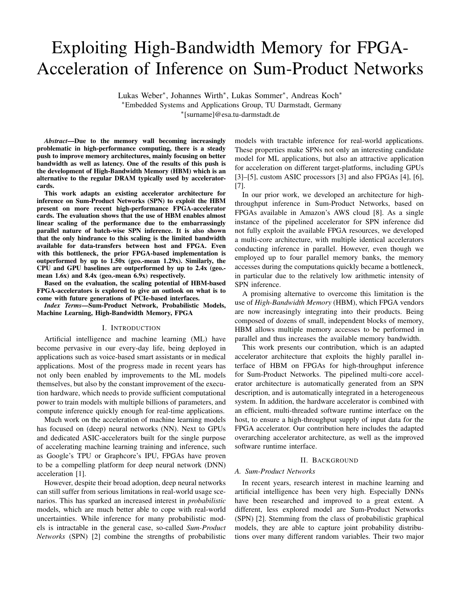# Exploiting High-Bandwidth Memory for FPGA-Acceleration of Inference on Sum-Product Networks

Lukas Weber<sup>∗</sup> , Johannes Wirth<sup>∗</sup> , Lukas Sommer<sup>∗</sup> , Andreas Koch<sup>∗</sup> <sup>∗</sup>Embedded Systems and Applications Group, TU Darmstadt, Germany

∗ [surname]@esa.tu-darmstadt.de

*Abstract*—Due to the memory wall becoming increasingly problematic in high-performance computing, there is a steady push to improve memory architectures, mainly focusing on better bandwidth as well as latency. One of the results of this push is the development of High-Bandwidth Memory (HBM) which is an alternative to the regular DRAM typically used by accelerator-

cards. This work adapts an existing accelerator architecture for inference on Sum-Product Networks (SPN) to exploit the HBM present on more recent high-performance FPGA-accelerator cards. The evaluation shows that the use of HBM enables almost linear scaling of the performance due to the embarrassingly parallel nature of batch-wise SPN inference. It is also shown that the only hindrance to this scaling is the limited bandwidth available for data-transfers between host and FPGA. Even with this bottleneck, the prior FPGA-based implementation is outperformed by up to 1.50x (geo.-mean 1.29x). Similarly, the CPU and GPU baselines are outperformed by up to 2.4x (geo. mean 1.6x) and 8.4x (geo.-mean 6.9x) respectively.

Based on the evaluation, the scaling potential of HBM-based FPGA-accelerators is explored to give an outlook on what is to come with future generations of PCIe-based interfaces.

*Index Terms*—Sum-Product Network, Probabilistic Models, Machine Learning, High-Bandwidth Memory, FPGA

## I. INTRODUCTION

Artificial intelligence and machine learning (ML) have become pervasive in our every-day life, being deployed in applications such as voice-based smart assistants or in medical applications. Most of the progress made in recent years has not only been enabled by improvements to the ML models themselves, but also by the constant improvement of the execution hardware, which needs to provide sufficient computational power to train models with multiple billions of parameters, and compute inference quickly enough for real-time applications.

Much work on the acceleration of machine learning models has focused on (deep) neural networks (NN). Next to GPUs and dedicated ASIC-accelerators built for the single purpose of accelerating machine learning training and inference, such as Google's TPU or Graphcore's IPU, FPGAs have proven to be a compelling platform for deep neural network (DNN) acceleration [1].

However, despite their broad adoption, deep neural networks can still suffer from serious limitations in real-world usage scenarios. This has sparked an increased interest in *probabilistic* models, which are much better able to cope with real-world uncertainties. While inference for many probabilistic models is intractable in the general case, so-called *Sum-Product Networks* (SPN) [2] combine the strengths of probabilistic

models with tractable inference for real-world applications. These properties make SPNs not only an interesting candidate model for ML applications, but also an attractive application for acceleration on different target-platforms, including GPUs [3]–[5], custom ASIC processors [3] and also FPGAs [4], [6], [7].

In our prior work, we developed an architecture for highthroughput inference in Sum-Product Networks, based on FPGAs available in Amazon's AWS cloud [8]. As a single instance of the pipelined accelerator for SPN inference did not fully exploit the available FPGA resources, we developed a multi-core architecture, with multiple identical accelerators conducting inference in parallel. However, even though we employed up to four parallel memory banks, the memory accesses during the computations quickly became a bottleneck, in particular due to the relatively low arithmetic intensity of SPN inference.

A promising alternative to overcome this limitation is the use of *High-Bandwidth Memory* (HBM), which FPGA vendors are now increasingly integrating into their products. Being composed of dozens of small, independent blocks of memory, HBM allows multiple memory accesses to be performed in parallel and thus increases the available memory bandwidth.

This work presents our contribution, which is an adapted accelerator architecture that exploits the highly parallel interface of HBM on FPGAs for high-throughput inference for Sum-Product Networks. The pipelined multi-core accelerator architecture is automatically generated from an SPN description, and is automatically integrated in a heterogeneous system. In addition, the hardware accelerator is combined with an efficient, multi-threaded software runtime interface on the host, to ensure a high-throughput supply of input data for the FPGA accelerator. Our contribution here includes the adapted overarching accelerator architecture, as well as the improved software runtime interface.

#### II. BACKGROUND

## *A. Sum-Product Networks*

In recent years, research interest in machine learning and artificial intelligence has been very high. Especially DNNs have been researched and improved to a great extent. A different, less explored model are Sum-Product Networks (SPN) [2]. Stemming from the class of probabilistic graphical models, they are able to capture joint probability distributions over many different random variables. Their two major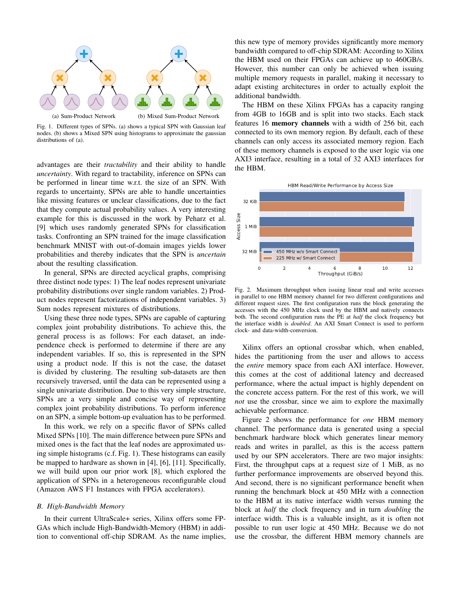

Fig. 1. Different types of SPNs. (a) shows a typical SPN with Gaussian leaf nodes. (b) shows a Mixed SPN using histograms to approximate the gaussian distributions of (a).

advantages are their *tractability* and their ability to handle *uncertainty*. With regard to tractability, inference on SPNs can be performed in linear time w.r.t. the size of an SPN. With regards to uncertainty, SPNs are able to handle uncertainties like missing features or unclear classifications, due to the fact that they compute actual probability values. A very interesting example for this is discussed in the work by Peharz et al. [9] which uses randomly generated SPNs for classification tasks. Confronting an SPN trained for the image classification benchmark MNIST with out-of-domain images yields lower probabilities and thereby indicates that the SPN is *uncertain* about the resulting classification.

In general, SPNs are directed acyclical graphs, comprising three distinct node types: 1) The leaf nodes represent univariate probability distributions over single random variables. 2) Product nodes represent factorizations of independent variables. 3) Sum nodes represent mixtures of distributions.

Using these three node types, SPNs are capable of capturing complex joint probability distributions. To achieve this, the general process is as follows: For each dataset, an independence check is performed to determine if there are any independent variables. If so, this is represented in the SPN using a product node. If this is not the case, the dataset is divided by clustering. The resulting sub-datasets are then recursively traversed, until the data can be represented using a single univariate distribution. Due to this very simple structure, SPNs are a very simple and concise way of representing complex joint probability distributions. To perform inference on an SPN, a simple bottom-up evaluation has to be performed.

In this work, we rely on a specific flavor of SPNs called Mixed SPNs [10]. The main difference between pure SPNs and mixed ones is the fact that the leaf nodes are approximated using simple histograms (c.f. Fig. 1). These histograms can easily be mapped to hardware as shown in [4], [6], [11]. Specifically, we will build upon our prior work [8], which explored the application of SPNs in a heterogeneous reconfigurable cloud (Amazon AWS F1 Instances with FPGA accelerators).

#### *B. High-Bandwidth Memory*

In their current UltraScale+ series, Xilinx offers some FP-GAs which include High-Bandwidth-Memory (HBM) in addition to conventional off-chip SDRAM. As the name implies, this new type of memory provides significantly more memory bandwidth compared to off-chip SDRAM: According to Xilinx the HBM used on their FPGAs can achieve up to 460GB/s. However, this number can only be achieved when issuing multiple memory requests in parallel, making it necessary to adapt existing architectures in order to actually exploit the additional bandwidth.

The HBM on these Xilinx FPGAs has a capacity ranging from 4GB to 16GB and is split into two stacks. Each stack features 16 memory channels with a width of 256 bit, each connected to its own memory region. By default, each of these channels can only access its associated memory region. Each of these memory channels is exposed to the user logic via one AXI3 interface, resulting in a total of 32 AXI3 interfaces for the HBM.



Fig. 2. Maximum throughput when issuing linear read and write accesses in parallel to one HBM memory channel for two different configurations and different request sizes. The first configuration runs the block generating the accesses with the 450 MHz clock used by the HBM and natively connects both. The second configuration runs the PE at *half* the clock frequency but the interface width is *doubled*. An AXI Smart Connect is used to perform clock- and data-width-conversion.

Xilinx offers an optional crossbar which, when enabled, hides the partitioning from the user and allows to access the *entire* memory space from each AXI interface. However, this comes at the cost of additional latency and decreased performance, where the actual impact is highly dependent on the concrete access pattern. For the rest of this work, we will *not* use the crossbar, since we aim to explore the maximally achievable performance.

Figure 2 shows the performance for *one* HBM memory channel. The performance data is generated using a special benchmark hardware block which generates linear memory reads and writes in parallel, as this is the access pattern used by our SPN accelerators. There are two major insights: First, the throughput caps at a request size of 1 MiB, as no further performance improvements are observed beyond this. And second, there is no significant performance benefit when running the benchmark block at 450 MHz with a connection to the HBM at its native interface width versus running the block at *half* the clock frequency and in turn *doubling* the interface width. This is a valuable insight, as it is often not possible to run user logic at 450 MHz. Because we do not use the crossbar, the different HBM memory channels are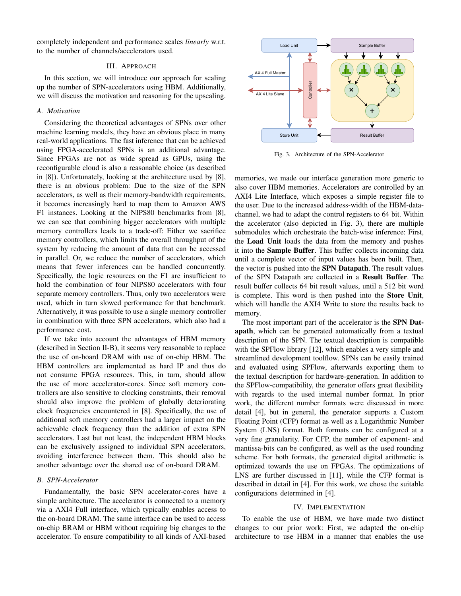completely independent and performance scales *linearly* w.r.t. to the number of channels/accelerators used.

# III. APPROACH

In this section, we will introduce our approach for scaling up the number of SPN-accelerators using HBM. Additionally, we will discuss the motivation and reasoning for the upscaling.

#### *A. Motivation*

Considering the theoretical advantages of SPNs over other machine learning models, they have an obvious place in many real-world applications. The fast inference that can be achieved using FPGA-accelerated SPNs is an additional advantage. Since FPGAs are not as wide spread as GPUs, using the reconfigurable cloud is also a reasonable choice (as described in [8]). Unfortunately, looking at the architecture used by [8], there is an obvious problem: Due to the size of the SPN accelerators, as well as their memory-bandwidth requirements, it becomes increasingly hard to map them to Amazon AWS F1 instances. Looking at the NIPS80 benchmarks from [8], we can see that combining bigger accelerators with multiple memory controllers leads to a trade-off: Either we sacrifice memory controllers, which limits the overall throughput of the system by reducing the amount of data that can be accessed in parallel. Or, we reduce the number of accelerators, which means that fewer inferences can be handled concurrently. Specifically, the logic resources on the F1 are insufficient to hold the combination of four NIPS80 accelerators with four separate memory controllers. Thus, only two accelerators were used, which in turn slowed performance for that benchmark. Alternatively, it was possible to use a single memory controller in combination with three SPN accelerators, which also had a performance cost.

If we take into account the advantages of HBM memory (described in Section II-B), it seems very reasonable to replace the use of on-board DRAM with use of on-chip HBM. The HBM controllers are implemented as hard IP and thus do not consume FPGA resources. This, in turn, should allow the use of more accelerator-cores. Since soft memory controllers are also sensitive to clocking constraints, their removal should also improve the problem of globally deteriorating clock frequencies encountered in [8]. Specifically, the use of additional soft memory controllers had a larger impact on the achievable clock frequency than the addition of extra SPN accelerators. Last but not least, the independent HBM blocks can be exclusively assigned to individual SPN accelerators, avoiding interference between them. This should also be another advantage over the shared use of on-board DRAM.

## *B. SPN-Accelerator*

Fundamentally, the basic SPN accelerator-cores have a simple architecture. The accelerator is connected to a memory via a AXI4 Full interface, which typically enables access to the on-board DRAM. The same interface can be used to access on-chip BRAM or HBM without requiring big changes to the accelerator. To ensure compatibility to all kinds of AXI-based



Fig. 3. Architecture of the SPN-Accelerator

memories, we made our interface generation more generic to also cover HBM memories. Accelerators are controlled by an AXI4 Lite Interface, which exposes a simple register file to the user. Due to the increased address-width of the HBM-datachannel, we had to adapt the control registers to 64 bit. Within the accelerator (also depicted in Fig. 3), there are multiple submodules which orchestrate the batch-wise inference: First, the Load Unit loads the data from the memory and pushes it into the Sample Buffer. This buffer collects incoming data until a complete vector of input values has been built. Then, the vector is pushed into the SPN Datapath. The result values of the SPN Datapath are collected in a Result Buffer. The result buffer collects 64 bit result values, until a 512 bit word is complete. This word is then pushed into the Store Unit, which will handle the AXI4 Write to store the results back to memory.

The most important part of the accelerator is the SPN Datapath, which can be generated automatically from a textual description of the SPN. The textual description is compatible with the SPFlow library [12], which enables a very simple and streamlined development toolflow. SPNs can be easily trained and evaluated using SPFlow, afterwards exporting them to the textual description for hardware-generation. In addition to the SPFlow-compatibility, the generator offers great flexibility with regards to the used internal number format. In prior work, the different number formats were discussed in more detail [4], but in general, the generator supports a Custom Floating Point (CFP) format as well as a Logarithmic Number System (LNS) format. Both formats can be configured at a very fine granularity. For CFP, the number of exponent- and mantissa-bits can be configured, as well as the used rounding scheme. For both formats, the generated digital arithmetic is optimized towards the use on FPGAs. The optimizations of LNS are further discussed in [11], while the CFP format is described in detail in [4]. For this work, we chose the suitable configurations determined in [4].

#### IV. IMPLEMENTATION

To enable the use of HBM, we have made two distinct changes to our prior work: First, we adapted the on-chip architecture to use HBM in a manner that enables the use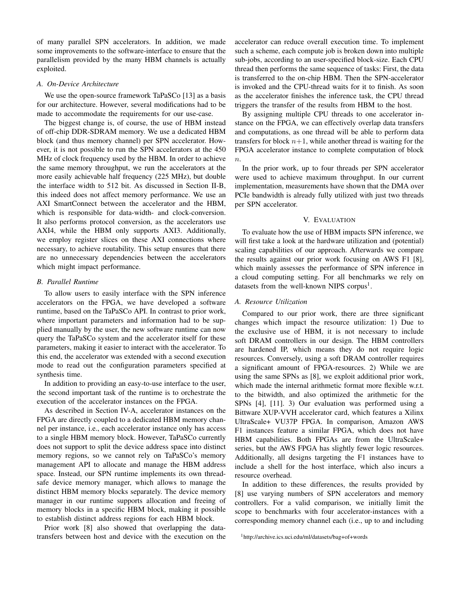of many parallel SPN accelerators. In addition, we made some improvements to the software-interface to ensure that the parallelism provided by the many HBM channels is actually exploited.

## *A. On-Device Architecture*

We use the open-source framework TaPaSCo [13] as a basis for our architecture. However, several modifications had to be made to accommodate the requirements for our use-case.

The biggest change is, of course, the use of HBM instead of off-chip DDR-SDRAM memory. We use a dedicated HBM block (and thus memory channel) per SPN accelerator. However, it is not possible to run the SPN accelerators at the 450 MHz of clock frequency used by the HBM. In order to achieve the same memory throughput, we run the accelerators at the more easily achievable half frequency (225 MHz), but double the interface width to 512 bit. As discussed in Section II-B, this indeed does not affect memory performance. We use an AXI SmartConnect between the accelerator and the HBM, which is responsible for data-width- and clock-conversion. It also performs protocol conversion, as the accelerators use AXI4, while the HBM only supports AXI3. Additionally, we employ register slices on these AXI connections where necessary, to achieve routability. This setup ensures that there are no unnecessary dependencies between the accelerators which might impact performance.

## *B. Parallel Runtime*

To allow users to easily interface with the SPN inference accelerators on the FPGA, we have developed a software runtime, based on the TaPaSCo API. In contrast to prior work, where important parameters and information had to be supplied manually by the user, the new software runtime can now query the TaPaSCo system and the accelerator itself for these parameters, making it easier to interact with the accelerator. To this end, the accelerator was extended with a second execution mode to read out the configuration parameters specified at synthesis time.

In addition to providing an easy-to-use interface to the user, the second important task of the runtime is to orchestrate the execution of the accelerator instances on the FPGA.

As described in Section IV-A, accelerator instances on the FPGA are directly coupled to a dedicated HBM memory channel per instance, i.e., each accelerator instance only has access to a single HBM memory block. However, TaPaSCo currently does not support to split the device address space into distinct memory regions, so we cannot rely on TaPaSCo's memory management API to allocate and manage the HBM address space. Instead, our SPN runtime implements its own threadsafe device memory manager, which allows to manage the distinct HBM memory blocks separately. The device memory manager in our runtime supports allocation and freeing of memory blocks in a specific HBM block, making it possible to establish distinct address regions for each HBM block.

Prior work [8] also showed that overlapping the datatransfers between host and device with the execution on the accelerator can reduce overall execution time. To implement such a scheme, each compute job is broken down into multiple sub-jobs, according to an user-specified block-size. Each CPU thread then performs the same sequence of tasks: First, the data is transferred to the on-chip HBM. Then the SPN-accelerator is invoked and the CPU-thread waits for it to finish. As soon as the accelerator finishes the inference task, the CPU thread triggers the transfer of the results from HBM to the host.

By assigning multiple CPU threads to one accelerator instance on the FPGA, we can effectively overlap data transfers and computations, as one thread will be able to perform data transfers for block  $n+1$ , while another thread is waiting for the FPGA accelerator instance to complete computation of block  $\overline{n}$ .

In the prior work, up to four threads per SPN accelerator were used to achieve maximum throughput. In our current implementation, measurements have shown that the DMA over PCIe bandwidth is already fully utilized with just two threads per SPN accelerator.

# V. EVALUATION

To evaluate how the use of HBM impacts SPN inference, we will first take a look at the hardware utilization and (potential) scaling capabilities of our approach. Afterwards we compare the results against our prior work focusing on AWS F1 [8], which mainly assesses the performance of SPN inference in a cloud computing setting. For all benchmarks we rely on datasets from the well-known NIPS corpus<sup>1</sup>.

## *A. Resource Utilization*

Compared to our prior work, there are three significant changes which impact the resource utilization: 1) Due to the exclusive use of HBM, it is not necessary to include soft DRAM controllers in our design. The HBM controllers are hardened IP, which means they do not require logic resources. Conversely, using a soft DRAM controller requires a significant amount of FPGA-resources. 2) While we are using the same SPNs as [8], we exploit additional prior work, which made the internal arithmetic format more flexible w.r.t. to the bitwidth, and also optimized the arithmetic for the SPNs [4], [11]. 3) Our evaluation was performed using a Bittware XUP-VVH accelerator card, which features a Xilinx UltraScale+ VU37P FPGA. In comparison, Amazon AWS F1 instances feature a similar FPGA, which does not have HBM capabilities. Both FPGAs are from the UltraScale+ series, but the AWS FPGA has slightly fewer logic resources. Additionally, all designs targeting the F1 instances have to include a shell for the host interface, which also incurs a resource overhead.

In addition to these differences, the results provided by [8] use varying numbers of SPN accelerators and memory controllers. For a valid comparison, we initially limit the scope to benchmarks with four accelerator-instances with a corresponding memory channel each (i.e., up to and including

<sup>1</sup>http://archive.ics.uci.edu/ml/datasets/bag+of+words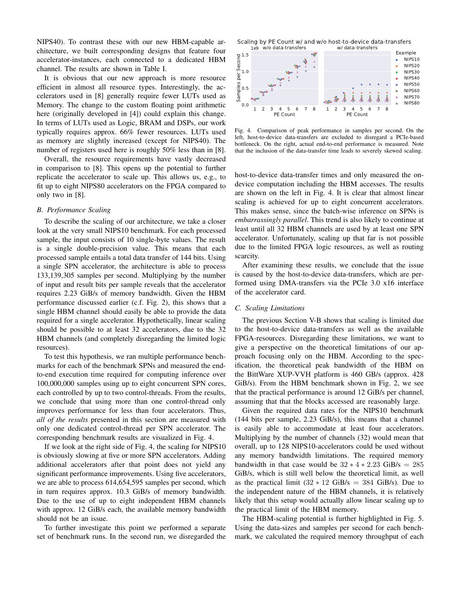NIPS40). To contrast these with our new HBM-capable architecture, we built corresponding designs that feature four accelerator-instances, each connected to a dedicated HBM channel. The results are shown in Table I.

It is obvious that our new approach is more resource efficient in almost all resource types. Interestingly, the accelerators used in [8] generally require fewer LUTs used as Memory. The change to the custom floating point arithmetic here (originally developed in [4]) could explain this change. In terms of LUTs used as Logic, BRAM and DSPs, our work typically requires approx. 66% fewer resources. LUTs used as memory are slightly increased (except for NIPS40). The number of registers used here is roughly 50% less than in [8].

Overall, the resource requirements have vastly decreased in comparison to [8]. This opens up the potential to further replicate the accelerator to scale up. This allows us, e.g., to fit up to eight NIPS80 accelerators on the FPGA compared to only two in [8].

# *B. Performance Scaling*

To describe the scaling of our architecture, we take a closer look at the very small NIPS10 benchmark. For each processed sample, the input consists of 10 single-byte values. The result is a single double-precision value. This means that each processed sample entails a total data transfer of 144 bits. Using a single SPN accelerator, the architecture is able to process 133,139,305 samples per second. Multiplying by the number of input and result bits per sample reveals that the accelerator requires 2.23 GiB/s of memory bandwidth. Given the HBM performance discussed earlier (c.f. Fig. 2), this shows that a single HBM channel should easily be able to provide the data required for a single accelerator. Hypothetically, linear scaling should be possible to at least 32 accelerators, due to the 32 HBM channels (and completely disregarding the limited logic resources).

To test this hypothesis, we ran multiple performance benchmarks for each of the benchmark SPNs and measured the endto-end execution time required for computing inference over 100,000,000 samples using up to eight concurrent SPN cores, each controlled by up to two control-threads. From the results, we conclude that using more than one control-thread only improves performance for less than four accelerators. Thus, *all of the results* presented in this section are measured with only one dedicated control-thread per SPN accelerator. The corresponding benchmark results are visualized in Fig. 4.

If we look at the right side of Fig. 4, the scaling for NIPS10 is obviously slowing at five or more SPN accelerators. Adding additional accelerators after that point does not yield any significant performance improvements. Using five accelerators, we are able to process 614,654,595 samples per second, which in turn requires approx. 10.3 GiB/s of memory bandwidth. Due to the use of up to eight independent HBM channels with approx. 12 GiB/s each, the available memory bandwidth should not be an issue.

To further investigate this point we performed a separate set of benchmark runs. In the second run, we disregarded the

1e9 w/o data-transfers w/ data-transfers Scaling by PE Count w/ and w/o host-to-device data-transfers



Fig. 4. Comparison of peak performance in samples per second. On the left, host-to-device data-transfers are excluded to disregard a PCIe-based bottleneck. On the right, actual end-to-end performance is measured. Note that the inclusion of the data-transfer time leads to severely skewed scaling.

host-to-device data-transfer times and only measured the ondevice computation including the HBM accesses. The results are shown on the left in Fig. 4. It is clear that almost linear scaling is achieved for up to eight concurrent accelerators. This makes sense, since the batch-wise inference on SPNs is *embarrassingly parallel*. This trend is also likely to continue at least until all 32 HBM channels are used by at least one SPN accelerator. Unfortunately, scaling up that far is not possible due to the limited FPGA logic resources, as well as routing scarcity.

After examining these results, we conclude that the issue is caused by the host-to-device data-transfers, which are performed using DMA-transfers via the PCIe 3.0 x16 interface of the accelerator card.

#### *C. Scaling Limitations*

The previous Section V-B shows that scaling is limited due to the host-to-device data-transfers as well as the available FPGA-resources. Disregarding these limitations, we want to give a perspective on the theoretical limitations of our approach focusing only on the HBM. According to the specification, the theoretical peak bandwidth of the HBM on the BittWare XUP-VVH platform is 460 GB/s (approx. 428 GiB/s). From the HBM benchmark shown in Fig. 2, we see that the practical performance is around 12 GiB/s per channel, assuming that that the blocks accessed are reasonably large.

Given the required data rates for the NIPS10 benchmark (144 bits per sample, 2.23 GiB/s), this means that a channel is easily able to accommodate at least four accelerators. Multiplying by the number of channels (32) would mean that overall, up to 128 NIPS10-accelerators could be used without any memory bandwidth limitations. The required memory bandwidth in that case would be  $32 * 4 * 2.23$  GiB/s = 285 GiB/s, which is still well below the theoretical limit, as well as the practical limit  $(32 \times 12 \text{ GiB/s}) = 384 \text{ GiB/s}$ . Due to the independent nature of the HBM channels, it is relatively likely that this setup would actually allow linear scaling up to the practical limit of the HBM memory.

The HBM-scaling potential is further highlighted in Fig. 5. Using the data-sizes and samples per second for each benchmark, we calculated the required memory throughput of each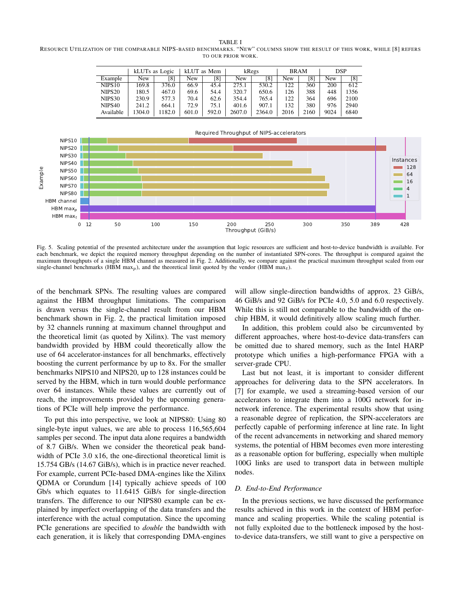RESOURCE UTILIZATION OF THE COMPARABLE NIPS-BASED BENCHMARKS. "NEW" COLUMNS SHOW THE RESULT OF THIS WORK, WHILE [8] REFERS TO OUR PRIOR WORK.

|                    | kLUTs as Logic |        | kLUT as Mem |       | kRegs  |        | <b>BRAM</b> |      | <b>DSP</b> |      |
|--------------------|----------------|--------|-------------|-------|--------|--------|-------------|------|------------|------|
| Example            | New            | [8]    | <b>New</b>  | [8]   | New    | [8]    | New         | [8]  | New        | [8]  |
| NIPS <sub>10</sub> | 169.8          | 376.0  | 66.9        | 45.4  | 275.1  | 530.2  | 122         | 360  | 200        | 612  |
| NIPS <sub>20</sub> | 180.5          | 467.0  | 69.6        | 54.4  | 320.7  | 650.6  | 126         | 388  | 448        | 1356 |
| NIPS30             | 230.9          | 577.3  | 70.4        | 62.6  | 354.4  | 765.4  | 122         | 364  | 696        | 2100 |
| NIPS <sub>40</sub> | 241.2          | 664.1  | 72.9        | 75.1  | 401.6  | 907.1  | 132         | 380  | 976        | 2940 |
| Available          | 1304.0         | 1182.0 | 601.0       | 592.0 | 2607.0 | 2364.0 | 2016        | 2160 | 9024       | 6840 |



Fig. 5. Scaling potential of the presented architecture under the assumption that logic resources are sufficient and host-to-device bandwidth is available. For each benchmark, we depict the required memory throughput depending on the number of instantiated SPN-cores. The throughput is compared against the maximum throughputs of a single HBM channel as measured in Fig. 2. Additionally, we compare against the practical maximum throughput scaled from our single-channel benchmarks (HBM  $\max_p$ ), and the theoretical limit quoted by the vendor (HBM  $\max_t$ ).

of the benchmark SPNs. The resulting values are compared against the HBM throughput limitations. The comparison is drawn versus the single-channel result from our HBM benchmark shown in Fig. 2, the practical limitation imposed by 32 channels running at maximum channel throughput and the theoretical limit (as quoted by Xilinx). The vast memory bandwidth provided by HBM could theoretically allow the use of 64 accelerator-instances for all benchmarks, effectively boosting the current performance by up to 8x. For the smaller benchmarks NIPS10 and NIPS20, up to 128 instances could be served by the HBM, which in turn would double performance over 64 instances. While these values are currently out of reach, the improvements provided by the upcoming generations of PCIe will help improve the performance.

To put this into perspective, we look at NIPS80: Using 80 single-byte input values, we are able to process 116,565,604 samples per second. The input data alone requires a bandwidth of 8.7 GiB/s. When we consider the theoretical peak bandwidth of PCIe 3.0 x16, the one-directional theoretical limit is 15.754 GB/s (14.67 GiB/s), which is in practice never reached. For example, current PCIe-based DMA-engines like the Xilinx QDMA or Corundum [14] typically achieve speeds of 100 Gb/s which equates to 11.6415 GiB/s for single-direction transfers. The difference to our NIPS80 example can be explained by imperfect overlapping of the data transfers and the interference with the actual computation. Since the upcoming PCIe generations are specified to *double* the bandwidth with each generation, it is likely that corresponding DMA-engines

will allow single-direction bandwidths of approx. 23 GiB/s, 46 GiB/s and 92 GiB/s for PCIe 4.0, 5.0 and 6.0 respectively. While this is still not comparable to the bandwidth of the onchip HBM, it would definitively allow scaling much further.

In addition, this problem could also be circumvented by different approaches, where host-to-device data-transfers can be omitted due to shared memory, such as the Intel HARP prototype which unifies a high-performance FPGA with a server-grade CPU.

Last but not least, it is important to consider different approaches for delivering data to the SPN accelerators. In [7] for example, we used a streaming-based version of our accelerators to integrate them into a 100G network for innetwork inference. The experimental results show that using a reasonable degree of replication, the SPN-accelerators are perfectly capable of performing inference at line rate. In light of the recent advancements in networking and shared memory systems, the potential of HBM becomes even more interesting as a reasonable option for buffering, especially when multiple 100G links are used to transport data in between multiple nodes.

# *D. End-to-End Performance*

In the previous sections, we have discussed the performance results achieved in this work in the context of HBM performance and scaling properties. While the scaling potential is not fully exploited due to the bottleneck imposed by the hostto-device data-transfers, we still want to give a perspective on

TABLE I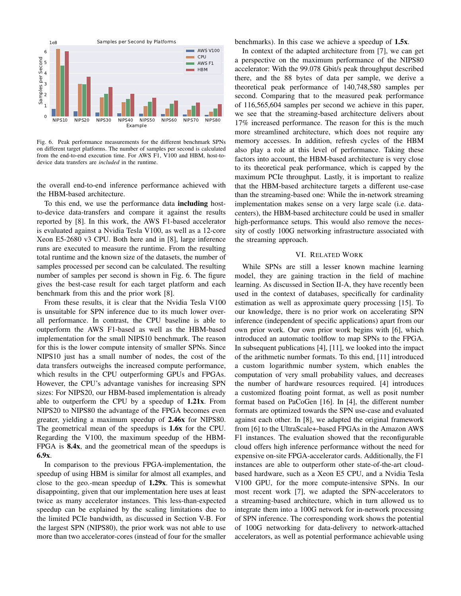

Fig. 6. Peak performance measurements for the different benchmark SPNs on different target platforms. The number of samples per second is calculated from the end-to-end execution time. For AWS F1, V100 and HBM, host-todevice data transfers are *included* in the runtime.

the overall end-to-end inference performance achieved with the HBM-based architecture.

To this end, we use the performance data including hostto-device data-transfers and compare it against the results reported by [8]. In this work, the AWS F1-based accelerator is evaluated against a Nvidia Tesla V100, as well as a 12-core Xeon E5-2680 v3 CPU. Both here and in [8], large inference runs are executed to measure the runtime. From the resulting total runtime and the known size of the datasets, the number of samples processed per second can be calculated. The resulting number of samples per second is shown in Fig. 6. The figure gives the best-case result for each target platform and each benchmark from this and the prior work [8].

From these results, it is clear that the Nvidia Tesla V100 is unsuitable for SPN inference due to its much lower overall performance. In contrast, the CPU baseline is able to outperform the AWS F1-based as well as the HBM-based implementation for the small NIPS10 benchmark. The reason for this is the lower compute intensity of smaller SPNs. Since NIPS10 just has a small number of nodes, the cost of the data transfers outweighs the increased compute performance, which results in the CPU outperforming GPUs and FPGAs. However, the CPU's advantage vanishes for increasing SPN sizes: For NIPS20, our HBM-based implementation is already able to outperform the CPU by a speedup of 1.21x. From NIPS20 to NIPS80 the advantage of the FPGA becomes even greater, yielding a maximum speedup of 2.46x for NIPS80. The geometrical mean of the speedups is 1.6x for the CPU. Regarding the V100, the maximum speedup of the HBM-FPGA is 8.4x, and the geometrical mean of the speedups is 6.9x.

In comparison to the previous FPGA-implementation, the speedup of using HBM is similar for almost all examples, and close to the geo.-mean speedup of  $1.29x$ . This is somewhat disappointing, given that our implementation here uses at least twice as many accelerator instances. This less-than-expected speedup can be explained by the scaling limitations due to the limited PCIe bandwidth, as discussed in Section V-B. For the largest SPN (NIPS80), the prior work was not able to use more than two accelerator-cores (instead of four for the smaller benchmarks). In this case we achieve a speedup of 1.5x.

In context of the adapted architecture from [7], we can get a perspective on the maximum performance of the NIPS80 accelerator: With the 99.078 Gbit/s peak throughput described there, and the 88 bytes of data per sample, we derive a theoretical peak performance of 140,748,580 samples per second. Comparing that to the measured peak performance of 116,565,604 samples per second we achieve in this paper, we see that the streaming-based architecture delivers about 17% increased performance. The reason for this is the much more streamlined architecture, which does not require any memory accesses. In addition, refresh cycles of the HBM also play a role at this level of performance. Taking these factors into account, the HBM-based architecture is very close to its theoretical peak performance, which is capped by the maximum PCIe throughput. Lastly, it is important to realize that the HBM-based architecture targets a different use-case than the streaming-based one: While the in-network streaming implementation makes sense on a very large scale (i.e. datacenters), the HBM-based architecture could be used in smaller high-performance setups. This would also remove the necessity of costly 100G networking infrastructure associated with the streaming approach.

#### VI. RELATED WORK

While SPNs are still a lesser known machine learning model, they are gaining traction in the field of machine learning. As discussed in Section II-A, they have recently been used in the context of databases, specifically for cardinality estimation as well as approximate query processing [15]. To our knowledge, there is no prior work on accelerating SPN inference (independent of specific applications) apart from our own prior work. Our own prior work begins with [6], which introduced an automatic toolflow to map SPNs to the FPGA. In subsequent publications [4], [11], we looked into the impact of the arithmetic number formats. To this end, [11] introduced a custom logarithmic number system, which enables the computation of very small probability values, and decreases the number of hardware resources required. [4] introduces a customized floating point format, as well as posit number format based on PaCoGen [16]. In [4], the different number formats are optimized towards the SPN use-case and evaluated against each other. In [8], we adapted the original framework from [6] to the UltraScale+-based FPGAs in the Amazon AWS F1 instances. The evaluation showed that the reconfigurable cloud offers high inference performance without the need for expensive on-site FPGA-accelerator cards. Additionally, the F1 instances are able to outperform other state-of-the-art cloudbased hardware, such as a Xeon E5 CPU, and a Nvidia Tesla V100 GPU, for the more compute-intensive SPNs. In our most recent work [7], we adapted the SPN-accelerators to a streaming-based architecture, which in turn allowed us to integrate them into a 100G network for in-network processing of SPN inference. The corresponding work shows the potential of 100G networking for data-delivery to network-attached accelerators, as well as potential performance achievable using